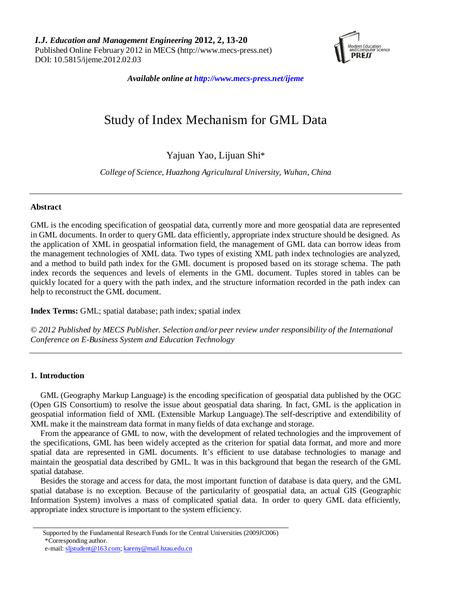

*Available online at http://www.mecs-press.net/ijeme*

# Study of Index Mechanism for GML Data

# Yajuan Yao, Lijuan Shi\*

*College of Science, Huazhong Agricultural University, Wuhan, China*

# **Abstract**

GML is the encoding specification of geospatial data, currently more and more geospatial data are represented in GML documents. In order to query GML data efficiently, appropriate index structure should be designed. As the application of XML in geospatial information field, the management of GML data can borrow ideas from the management technologies of XML data. Two types of existing XML path index technologies are analyzed, and a method to build path index for the GML document is proposed based on its storage schema. The path index records the sequences and levels of elements in the GML document. Tuples stored in tables can be quickly located for a query with the path index, and the structure information recorded in the path index can help to reconstruct the GML document.

**Index Terms:** GML; spatial database; path index; spatial index

*© 2012 Published by MECS Publisher. Selection and/or peer review under responsibility of the International Conference on E-Business System and Education Technology*

# **1. Introduction**

GML (Geography Markup Language) is the encoding specification of geospatial data published by the OGC (Open GIS Consortium) to resolve the issue about geospatial data sharing. In fact, GML is the application in geospatial information field of XML (Extensible Markup Language).The self-descriptive and extendibility of XML make it the mainstream data format in many fields of data exchange and storage.

From the appearance of GML to now, with the development of related technologies and the improvement of the specifications, GML has been widely accepted as the criterion for spatial data format, and more and more spatial data are represented in GML documents. It's efficient to use database technologies to manage and maintain the geospatial data described by GML. It was in this background that began the research of the GML spatial database.

Besides the storage and access for data, the most important function of database is data query, and the GML spatial database is no exception. Because of the particularity of geospatial data, an actual GIS (Geographic Information System) involves a mass of complicated spatial data. In order to query GML data efficiently, appropriate index structure is important to the system efficiency.

Supported by the Fundamental Research Funds for the Central Universities (2009JC006) \*Corresponding author.

e-mail[: sljstudent@163.com;](mailto:sljstudent@163.com) [kareny@mail.hzau.edu.cn](mailto:kareny@mail.hzau.edu.cn)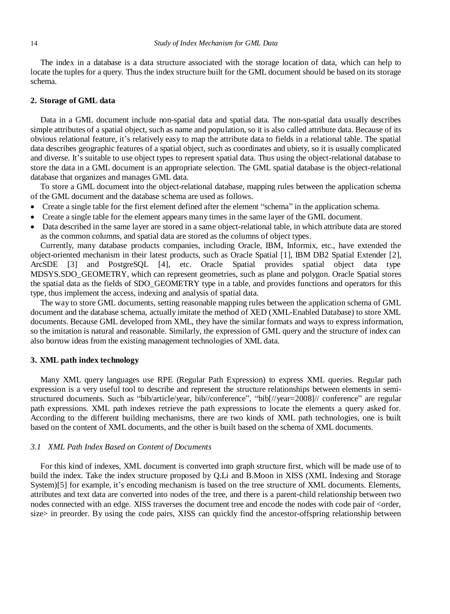The index in a database is a data structure associated with the storage location of data, which can help to locate the tuples for a query. Thus the index structure built for the GML document should be based on its storage schema.

# **2. Storage of GML data**

Data in a GML document include non-spatial data and spatial data. The non-spatial data usually describes simple attributes of a spatial object, such as name and population, so it is also called attribute data. Because of its obvious relational feature, it's relatively easy to map the attribute data to fields in a relational table. The spatial data describes geographic features of a spatial object, such as coordinates and ubiety, so it is usually complicated and diverse. It's suitable to use object types to represent spatial data. Thus using the object-relational database to store the data in a GML document is an appropriate selection. The GML spatial database is the object-relational database that organizes and manages GML data.

To store a GML document into the object-relational database, mapping rules between the application schema of the GML document and the database schema are used as follows.

- Create a single table for the first element defined after the element "schema" in the application schema.
- Create a single table for the element appears many times in the same layer of the GML document.
- Data described in the same layer are stored in a same object-relational table, in which attribute data are stored as the common columns, and spatial data are stored as the columns of object types.

Currently, many database products companies, including Oracle, IBM, Informix, etc., have extended the object-oriented mechanism in their latest products, such as Oracle Spatial [1], IBM DB2 Spatial Extender [2], ArcSDE [3] and PostgreSQL [4], etc. Oracle Spatial provides spatial object data type MDSYS.SDO\_GEOMETRY, which can represent geometries, such as plane and polygon. Oracle Spatial stores the spatial data as the fields of SDO\_GEOMETRY type in a table, and provides functions and operators for this type, thus implement the access, indexing and analysis of spatial data.

The way to store GML documents, setting reasonable mapping rules between the application schema of GML document and the database schema, actually imitate the method of XED (XML-Enabled Database) to store XML documents. Because GML developed from XML, they have the similar formats and ways to express information, so the imitation is natural and reasonable. Similarly, the expression of GML query and the structure of index can also borrow ideas from the existing management technologies of XML data.

#### **3. XML path index technology**

Many XML query languages use RPE (Regular Path Expression) to express XML queries. Regular path expression is a very useful tool to describe and represent the structure relationships between elements in semistructured documents. Such as "bib/article/year, bib//conference", "bib[//year=2008]// conference" are regular path expressions. XML path indexes retrieve the path expressions to locate the elements a query asked for. According to the different building mechanisms, there are two kinds of XML path technologies, one is built based on the content of XML documents, and the other is built based on the schema of XML documents.

### *3.1 XML Path Index Based on Content of Documents*

For this kind of indexes, XML document is converted into graph structure first, which will be made use of to build the index. Take the index structure proposed by Q.Li and B.Moon in XISS (XML Indexing and Storage System)[5] for example, it's encoding mechanism is based on the tree structure of XML documents. Elements, attributes and text data are converted into nodes of the tree, and there is a parent-child relationship between two nodes connected with an edge. XISS traverses the document tree and encode the nodes with code pair of <order, size> in preorder. By using the code pairs, XISS can quickly find the ancestor-offspring relationship between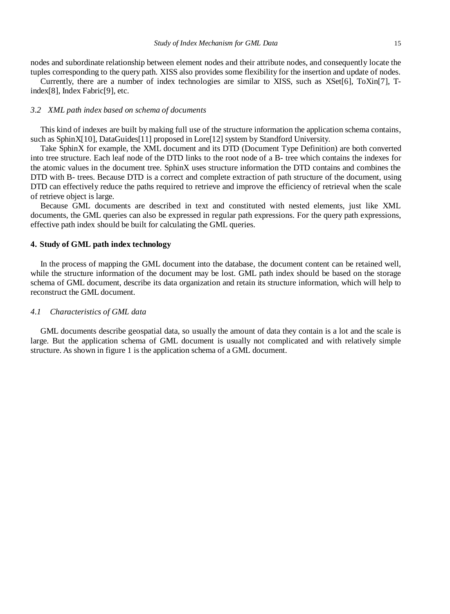nodes and subordinate relationship between element nodes and their attribute nodes, and consequently locate the tuples corresponding to the query path. XISS also provides some flexibility for the insertion and update of nodes.

Currently, there are a number of index technologies are similar to XISS, such as XSet[6], ToXin[7], Tindex[8], Index Fabric[9], etc.

#### *3.2 XML path index based on schema of documents*

This kind of indexes are built by making full use of the structure information the application schema contains, such as SphinX[10], DataGuides[11] proposed in Lore[12] system by Standford University.

Take SphinX for example, the XML document and its DTD (Document Type Definition) are both converted into tree structure. Each leaf node of the DTD links to the root node of a B- tree which contains the indexes for the atomic values in the document tree. SphinX uses structure information the DTD contains and combines the DTD with B- trees. Because DTD is a correct and complete extraction of path structure of the document, using DTD can effectively reduce the paths required to retrieve and improve the efficiency of retrieval when the scale of retrieve object is large.

Because GML documents are described in text and constituted with nested elements, just like XML documents, the GML queries can also be expressed in regular path expressions. For the query path expressions, effective path index should be built for calculating the GML queries.

#### **4. Study of GML path index technology**

In the process of mapping the GML document into the database, the document content can be retained well, while the structure information of the document may be lost. GML path index should be based on the storage schema of GML document, describe its data organization and retain its structure information, which will help to reconstruct the GML document.

#### *4.1 Characteristics of GML data*

GML documents describe geospatial data, so usually the amount of data they contain is a lot and the scale is large. But the application schema of GML document is usually not complicated and with relatively simple structure. As shown in figure 1 is the application schema of a GML document.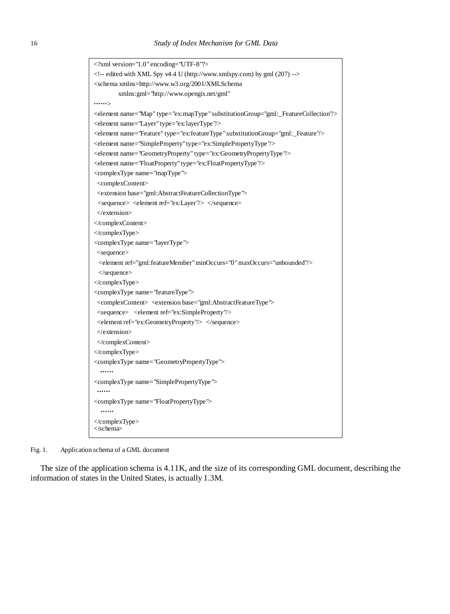```
<?xml version="1.0" encoding="UTF-8"?>
\langle -- edited with XML Spy v4.4 U (http://www.xmlspy.com) by gml (207) --><schema xmlns=http://www.w3.org/2001/XMLSchema
        xmlns:gml="http://www.opengis.net/gml" 
.......<element name="Map" type="ex:mapType" substitutionGroup="gml:_FeatureCollection"/>
<element name="Layer" type="ex:layerType"/>
<element name="Feature" type="ex:featureType" substitutionGroup="gml:_Feature"/>
<element name="SimpleProperty" type="ex:SimplePropertyType"/>
<element name="GeometryProperty" type="ex:GeometryPropertyType"/>
<element name="FloatProperty" type="ex:FloatPropertyType"/>
<complexType name="mapType">
<complexContent>
 <extension base="gml:AbstractFeatureCollectionType">
 \langle sequence\rangle \langle element ref="ex:Layer"\rangle \langle /sequence\rangle </extension>
</complexContent>
</complexType>
<complexType name="layerType">
<sequence>
 <element ref="gml:featureMember" minOccurs="0" maxOccurs="unbounded"/>
 </sequence>
</complexType>
<complexType name="featureType">
 <complexContent> <extension base="gml:AbstractFeatureType">
 <sequence> <element ref="ex:SimpleProperty"/>
 <element ref="ex:GeometryProperty"/> </sequence>
 </extension>
</complexContent>
</complexType>
<complexType name="GeometryPropertyType">
  ……
<complexType name="SimplePropertyType ">
 ……
<complexType name="FloatPropertyType">
  ……
</complexType>
</schema>
```
Fig. 1. Application schema of a GML document

The size of the application schema is 4.11K, and the size of its corresponding GML document, describing the information of states in the United States, is actually 1.3M.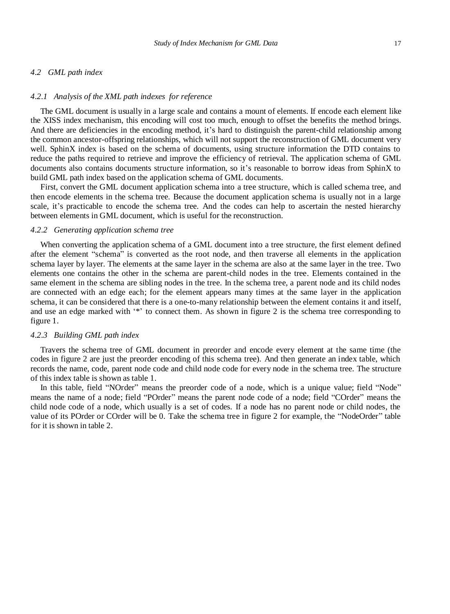#### *4.2 GML path index*

#### *4.2.1 Analysis of the XML path indexes for reference*

The GML document is usually in a large scale and contains a mount of elements. If encode each element like the XISS index mechanism, this encoding will cost too much, enough to offset the benefits the method brings. And there are deficiencies in the encoding method, it's hard to distinguish the parent-child relationship among the common ancestor-offspring relationships, which will not support the reconstruction of GML document very well. SphinX index is based on the schema of documents, using structure information the DTD contains to reduce the paths required to retrieve and improve the efficiency of retrieval. The application schema of GML documents also contains documents structure information, so it's reasonable to borrow ideas from SphinX to build GML path index based on the application schema of GML documents.

First, convert the GML document application schema into a tree structure, which is called schema tree, and then encode elements in the schema tree. Because the document application schema is usually not in a large scale, it's practicable to encode the schema tree. And the codes can help to ascertain the nested hierarchy between elements in GML document, which is useful for the reconstruction.

#### *4.2.2 Generating application schema tree*

When converting the application schema of a GML document into a tree structure, the first element defined after the element "schema" is converted as the root node, and then traverse all elements in the application schema layer by layer. The elements at the same layer in the schema are also at the same layer in the tree. Two elements one contains the other in the schema are parent-child nodes in the tree. Elements contained in the same element in the schema are sibling nodes in the tree. In the schema tree, a parent node and its child nodes are connected with an edge each; for the element appears many times at the same layer in the application schema, it can be considered that there is a one-to-many relationship between the element contains it and itself, and use an edge marked with '\*' to connect them. As shown in figure 2 is the schema tree corresponding to figure 1.

#### *4.2.3 Building GML path index*

Travers the schema tree of GML document in preorder and encode every element at the same time (the codes in figure 2 are just the preorder encoding of this schema tree). And then generate an index table, which records the name, code, parent node code and child node code for every node in the schema tree. The structure of this index table is shown as table 1.

In this table, field "NOrder" means the preorder code of a node, which is a unique value; field "Node" means the name of a node; field "POrder" means the parent node code of a node; field "COrder" means the child node code of a node, which usually is a set of codes. If a node has no parent node or child nodes, the value of its POrder or COrder will be 0. Take the schema tree in figure 2 for example, the "NodeOrder" table for it is shown in table 2.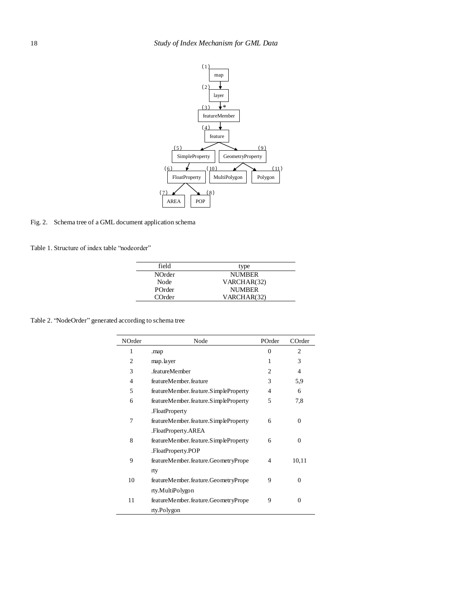

Fig. 2. Schema tree of a GML document application schema

Table 1. Structure of index table "nodeorder"

| field         | type          |
|---------------|---------------|
| <b>NOrder</b> | <b>NUMBER</b> |
| Node          | VARCHAR(32)   |
| POrder        | <b>NUMBER</b> |
| COrder        | VARCHAR(32)   |

Table 2. "NodeOrder" generated according to schema tree

j.

j.

| NOrder         | Node                                 | POrder   | COrder         |
|----------------|--------------------------------------|----------|----------------|
| 1              | .map                                 | $\Omega$ | $\overline{c}$ |
| $\overline{2}$ | map.layer                            | 1        | 3              |
| 3              | .featureMember                       | 2        | $\overline{4}$ |
| $\overline{4}$ | featureMember.feature                | 3        | 5,9            |
| 5              | featureMember.feature.SimpleProperty | 4        | 6              |
| 6              | featureMember.feature.SimpleProperty | 5        | 7,8            |
|                | .FloatProperty                       |          |                |
| 7              | featureMember.feature.SimpleProperty | 6        | $\theta$       |
|                | .FloatProperty.AREA                  |          |                |
| 8              | featureMember.feature.SimpleProperty | 6        | $\mathbf{0}$   |
|                | .FloatProperty.POP                   |          |                |
| 9              | featureMember.feature.GeometryPrope  | 4        | 10,11          |
|                | rty                                  |          |                |
| 10             | featureMember.feature.GeometryPrope  | 9        | $\Omega$       |
|                | rty.MultiPolygon                     |          |                |
| 11             | featureMember.feature.GeometryPrope  | 9        | $\theta$       |
|                | rty.Polygon                          |          |                |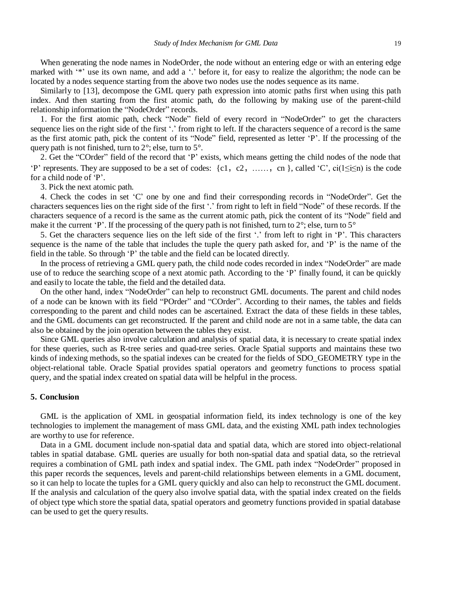When generating the node names in NodeOrder, the node without an entering edge or with an entering edge marked with '\*' use its own name, and add a '.' before it, for easy to realize the algorithm; the node can be located by a nodes sequence starting from the above two nodes use the nodes sequence as its name.

Similarly to [13], decompose the GML query path expression into atomic paths first when using this path index. And then starting from the first atomic path, do the following by making use of the parent-child relationship information the "NodeOrder" records.

1. For the first atomic path, check "Node" field of every record in "NodeOrder" to get the characters sequence lies on the right side of the first '.' from right to left. If the characters sequence of a record is the same as the first atomic path, pick the content of its "Node" field, represented as letter 'P'. If the processing of the query path is not finished, turn to 2°; else, turn to 5°.

2. Get the "COrder" field of the record that 'P' exists, which means getting the child nodes of the node that 'P' represents. They are supposed to be a set of codes:  $\{c1, c2, \ldots, cn\}$ , called 'C', ci( $1 \le i \le n$ ) is the code for a child node of 'P'.

3. Pick the next atomic path.

4. Check the codes in set 'C' one by one and find their corresponding records in "NodeOrder". Get the characters sequences lies on the right side of the first '.' from right to left in field "Node" of these records. If the characters sequence of a record is the same as the current atomic path, pick the content of its "Node" field and make it the current 'P'. If the processing of the query path is not finished, turn to 2<sup>°</sup>; else, turn to 5<sup>°</sup>

5. Get the characters sequence lies on the left side of the first '.' from left to right in 'P'. This characters sequence is the name of the table that includes the tuple the query path asked for, and 'P' is the name of the field in the table. So through 'P' the table and the field can be located directly.

In the process of retrieving a GML query path, the child node codes recorded in index "NodeOrder" are made use of to reduce the searching scope of a next atomic path. According to the 'P' finally found, it can be quickly and easily to locate the table, the field and the detailed data.

On the other hand, index "NodeOrder" can help to reconstruct GML documents. The parent and child nodes of a node can be known with its field "POrder" and "COrder". According to their names, the tables and fields corresponding to the parent and child nodes can be ascertained. Extract the data of these fields in these tables, and the GML documents can get reconstructed. If the parent and child node are not in a same table, the data can also be obtained by the join operation between the tables they exist.

Since GML queries also involve calculation and analysis of spatial data, it is necessary to create spatial index for these queries, such as R-tree series and quad-tree series. Oracle Spatial supports and maintains these two kinds of indexing methods, so the spatial indexes can be created for the fields of SDO\_GEOMETRY type in the object-relational table. Oracle Spatial provides spatial operators and geometry functions to process spatial query, and the spatial index created on spatial data will be helpful in the process.

#### **5. Conclusion**

GML is the application of XML in geospatial information field, its index technology is one of the key technologies to implement the management of mass GML data, and the existing XML path index technologies are worthy to use for reference.

Data in a GML document include non-spatial data and spatial data, which are stored into object-relational tables in spatial database. GML queries are usually for both non-spatial data and spatial data, so the retrieval requires a combination of GML path index and spatial index. The GML path index "NodeOrder" proposed in this paper records the sequences, levels and parent-child relationships between elements in a GML document, so it can help to locate the tuples for a GML query quickly and also can help to reconstruct the GML document. If the analysis and calculation of the query also involve spatial data, with the spatial index created on the fields of object type which store the spatial data, spatial operators and geometry functions provided in spatial database can be used to get the query results.